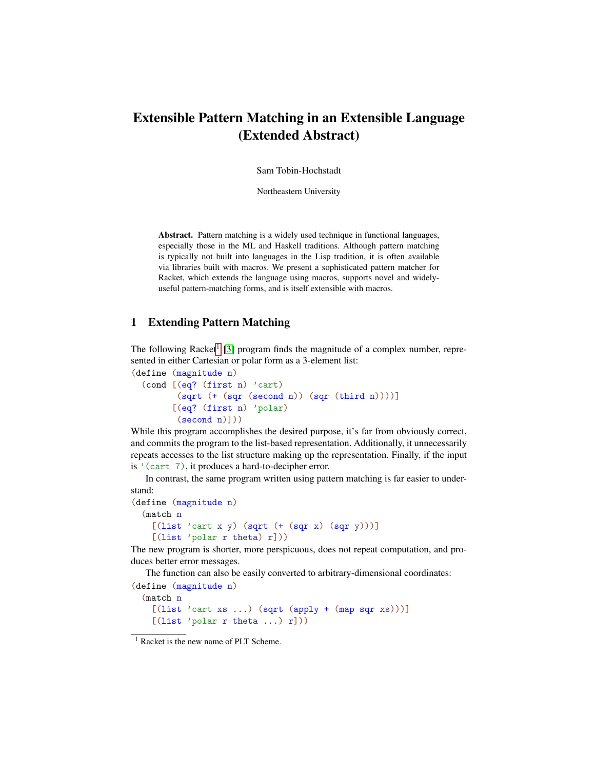## Extensible Pattern Matching in an Extensible Language (Extended Abstract)

Sam Tobin-Hochstadt

Northeastern University

Abstract. Pattern matching is a widely used technique in functional languages, especially those in the ML and Haskell traditions. Although pattern matching is typically not built into languages in the Lisp tradition, it is often available via libraries built with macros. We present a sophisticated pattern matcher for Racket, which extends the language using macros, supports novel and widelyuseful pattern-matching forms, and is itself extensible with macros.

## 1 Extending Pattern Matching

The following Racket<sup>[1](#page-0-0)</sup> [\[3\]](#page-1-0) program finds the magnitude of a complex number, represented in either Cartesian or polar form as a 3-element list:

```
(define (magnitude n)
 (cond [(eq? (first n) 'cart)
        (sqrt (+ (sqr (second n)) (sqr (third n))))]
       [(eq? (first n) 'polar)
        (second n)]))
```
While this program accomplishes the desired purpose, it's far from obviously correct, and commits the program to the list-based representation. Additionally, it unnecessarily repeats accesses to the list structure making up the representation. Finally, if the input is '(cart 7), it produces a hard-to-decipher error.

In contrast, the same program written using pattern matching is far easier to understand:

```
(define (magnitude n)
 (match n
   [(list 'cart x y) (sqrt (+ (sqrt x) (sqrt y))))][(list 'polar r theta) r]))
```
The new program is shorter, more perspicuous, does not repeat computation, and produces better error messages.

The function can also be easily converted to arbitrary-dimensional coordinates:

(define (magnitude n) (match n [(list 'cart xs ...) (sqrt (apply + (map sqr xs)))] [(list 'polar r theta ...) r]))

<span id="page-0-0"></span><sup>&</sup>lt;sup>1</sup> Racket is the new name of PLT Scheme.